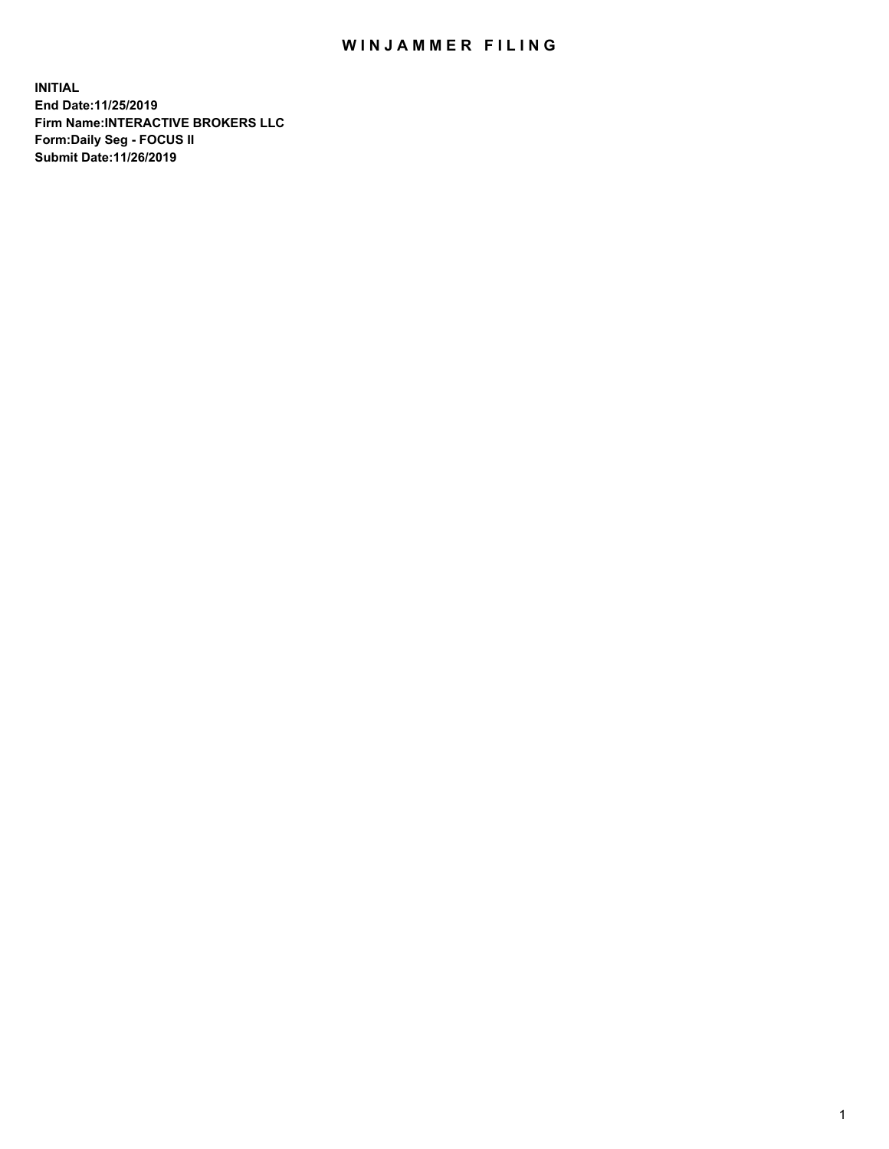## WIN JAMMER FILING

**INITIAL End Date:11/25/2019 Firm Name:INTERACTIVE BROKERS LLC Form:Daily Seg - FOCUS II Submit Date:11/26/2019**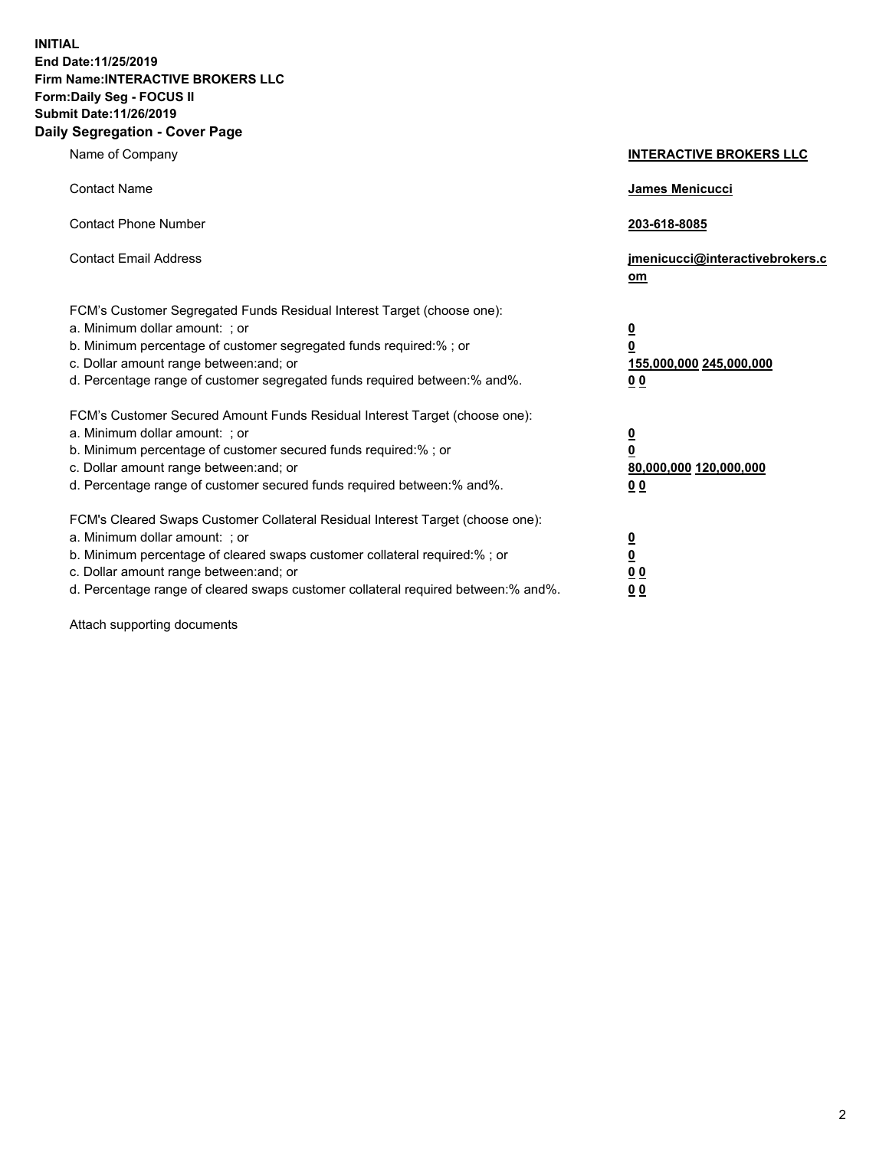**INITIAL End Date:11/25/2019 Firm Name:INTERACTIVE BROKERS LLC Form:Daily Seg - FOCUS II Submit Date:11/26/2019 Daily Segregation - Cover Page**

| Name of Company                                                                                                                                                                                                                                                                                                                | <b>INTERACTIVE BROKERS LLC</b>                                                                 |
|--------------------------------------------------------------------------------------------------------------------------------------------------------------------------------------------------------------------------------------------------------------------------------------------------------------------------------|------------------------------------------------------------------------------------------------|
| <b>Contact Name</b>                                                                                                                                                                                                                                                                                                            | James Menicucci                                                                                |
| <b>Contact Phone Number</b>                                                                                                                                                                                                                                                                                                    | 203-618-8085                                                                                   |
| <b>Contact Email Address</b>                                                                                                                                                                                                                                                                                                   | jmenicucci@interactivebrokers.c<br>om                                                          |
| FCM's Customer Segregated Funds Residual Interest Target (choose one):<br>a. Minimum dollar amount: : or<br>b. Minimum percentage of customer segregated funds required:% ; or<br>c. Dollar amount range between: and; or<br>d. Percentage range of customer segregated funds required between:% and%.                         | $\overline{\mathbf{0}}$<br>$\overline{\mathbf{0}}$<br>155,000,000 245,000,000<br>00            |
| FCM's Customer Secured Amount Funds Residual Interest Target (choose one):<br>a. Minimum dollar amount: ; or<br>b. Minimum percentage of customer secured funds required:%; or<br>c. Dollar amount range between: and; or<br>d. Percentage range of customer secured funds required between:% and%.                            | $\overline{\mathbf{0}}$<br>$\overline{\mathbf{0}}$<br>80,000,000 120,000,000<br>0 <sub>0</sub> |
| FCM's Cleared Swaps Customer Collateral Residual Interest Target (choose one):<br>a. Minimum dollar amount: ; or<br>b. Minimum percentage of cleared swaps customer collateral required:% ; or<br>c. Dollar amount range between: and; or<br>d. Percentage range of cleared swaps customer collateral required between:% and%. | $\frac{0}{0}$<br>0 <sub>0</sub><br>0 <sub>0</sub>                                              |

Attach supporting documents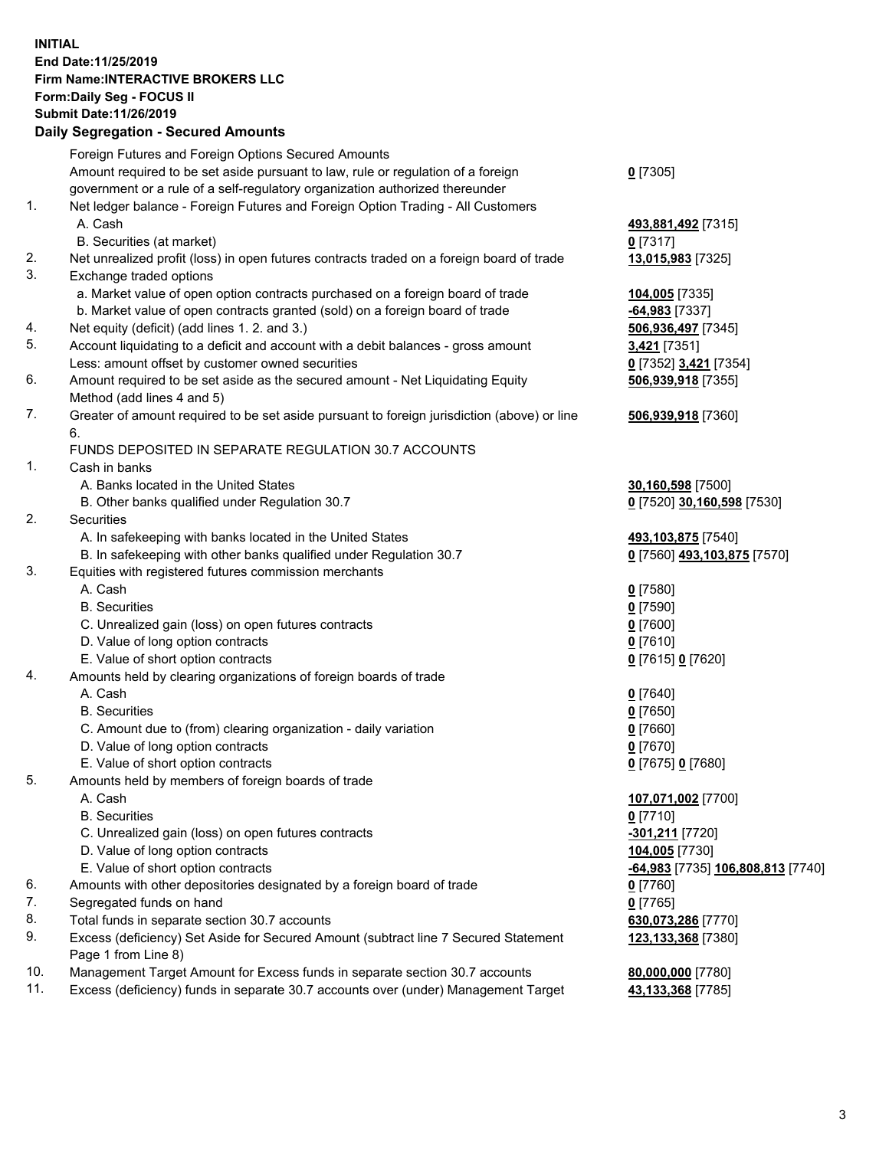## **INITIAL End Date:11/25/2019 Firm Name:INTERACTIVE BROKERS LLC Form:Daily Seg - FOCUS II Submit Date:11/26/2019**

|            | <b>Daily Segregation - Secured Amounts</b>                                                           |                                   |
|------------|------------------------------------------------------------------------------------------------------|-----------------------------------|
|            | Foreign Futures and Foreign Options Secured Amounts                                                  |                                   |
|            | Amount required to be set aside pursuant to law, rule or regulation of a foreign                     | $0$ [7305]                        |
|            | government or a rule of a self-regulatory organization authorized thereunder                         |                                   |
| 1.         | Net ledger balance - Foreign Futures and Foreign Option Trading - All Customers                      |                                   |
|            | A. Cash                                                                                              | 493,881,492 [7315]                |
|            | B. Securities (at market)                                                                            | $0$ [7317]                        |
| 2.         | Net unrealized profit (loss) in open futures contracts traded on a foreign board of trade            | 13,015,983 [7325]                 |
| 3.         | Exchange traded options                                                                              |                                   |
|            | a. Market value of open option contracts purchased on a foreign board of trade                       | 104,005 [7335]                    |
|            | b. Market value of open contracts granted (sold) on a foreign board of trade                         | $-64,983$ [7337]                  |
| 4.         | Net equity (deficit) (add lines 1.2. and 3.)                                                         | 506,936,497 [7345]                |
| 5.         | Account liquidating to a deficit and account with a debit balances - gross amount                    | 3,421 [7351]                      |
|            | Less: amount offset by customer owned securities                                                     | 0 [7352] 3,421 [7354]             |
| 6.         | Amount required to be set aside as the secured amount - Net Liquidating Equity                       | 506,939,918 [7355]                |
|            | Method (add lines 4 and 5)                                                                           |                                   |
| 7.         | Greater of amount required to be set aside pursuant to foreign jurisdiction (above) or line          | 506,939,918 [7360]                |
|            | 6.                                                                                                   |                                   |
|            | FUNDS DEPOSITED IN SEPARATE REGULATION 30.7 ACCOUNTS                                                 |                                   |
| 1.         | Cash in banks                                                                                        |                                   |
|            | A. Banks located in the United States                                                                | 30,160,598 [7500]                 |
|            | B. Other banks qualified under Regulation 30.7                                                       | 0 [7520] 30,160,598 [7530]        |
| 2.         | Securities                                                                                           |                                   |
|            | A. In safekeeping with banks located in the United States                                            | 493,103,875 [7540]                |
|            | B. In safekeeping with other banks qualified under Regulation 30.7                                   | 0 [7560] 493,103,875 [7570]       |
| 3.         | Equities with registered futures commission merchants                                                |                                   |
|            | A. Cash                                                                                              | $0$ [7580]                        |
|            | <b>B.</b> Securities                                                                                 | $0$ [7590]                        |
|            | C. Unrealized gain (loss) on open futures contracts                                                  | $0$ [7600]                        |
|            | D. Value of long option contracts                                                                    | $0$ [7610]                        |
|            | E. Value of short option contracts                                                                   | 0 [7615] 0 [7620]                 |
| 4.         | Amounts held by clearing organizations of foreign boards of trade                                    |                                   |
|            | A. Cash                                                                                              | $0$ [7640]                        |
|            | <b>B.</b> Securities                                                                                 |                                   |
|            |                                                                                                      | $0$ [7650]<br>$0$ [7660]          |
|            | C. Amount due to (from) clearing organization - daily variation<br>D. Value of long option contracts |                                   |
|            | E. Value of short option contracts                                                                   | $0$ [7670]                        |
|            |                                                                                                      | 0 [7675] 0 [7680]                 |
| 5.         | Amounts held by members of foreign boards of trade<br>A. Cash                                        |                                   |
|            | <b>B.</b> Securities                                                                                 | 107,071,002 [7700]                |
|            |                                                                                                      | $0$ [7710]                        |
|            | C. Unrealized gain (loss) on open futures contracts                                                  | <u>-301,211</u> [7720]            |
|            | D. Value of long option contracts                                                                    | 104,005 [7730]                    |
|            | E. Value of short option contracts                                                                   | -64,983 [7735] 106,808,813 [7740] |
| 6.         | Amounts with other depositories designated by a foreign board of trade                               | $0$ [7760]                        |
| 7.         | Segregated funds on hand                                                                             | $0$ [7765]                        |
| 8.         | Total funds in separate section 30.7 accounts                                                        | 630,073,286 [7770]                |
| 9.         | Excess (deficiency) Set Aside for Secured Amount (subtract line 7 Secured Statement                  | 123,133,368 [7380]                |
|            | Page 1 from Line 8)                                                                                  |                                   |
| 10.<br>11. | Management Target Amount for Excess funds in separate section 30.7 accounts                          | 80,000,000 [7780]                 |
|            | Excess (deficiency) funds in separate 30.7 accounts over (under) Management Target                   | 43,133,368 [7785]                 |
|            |                                                                                                      |                                   |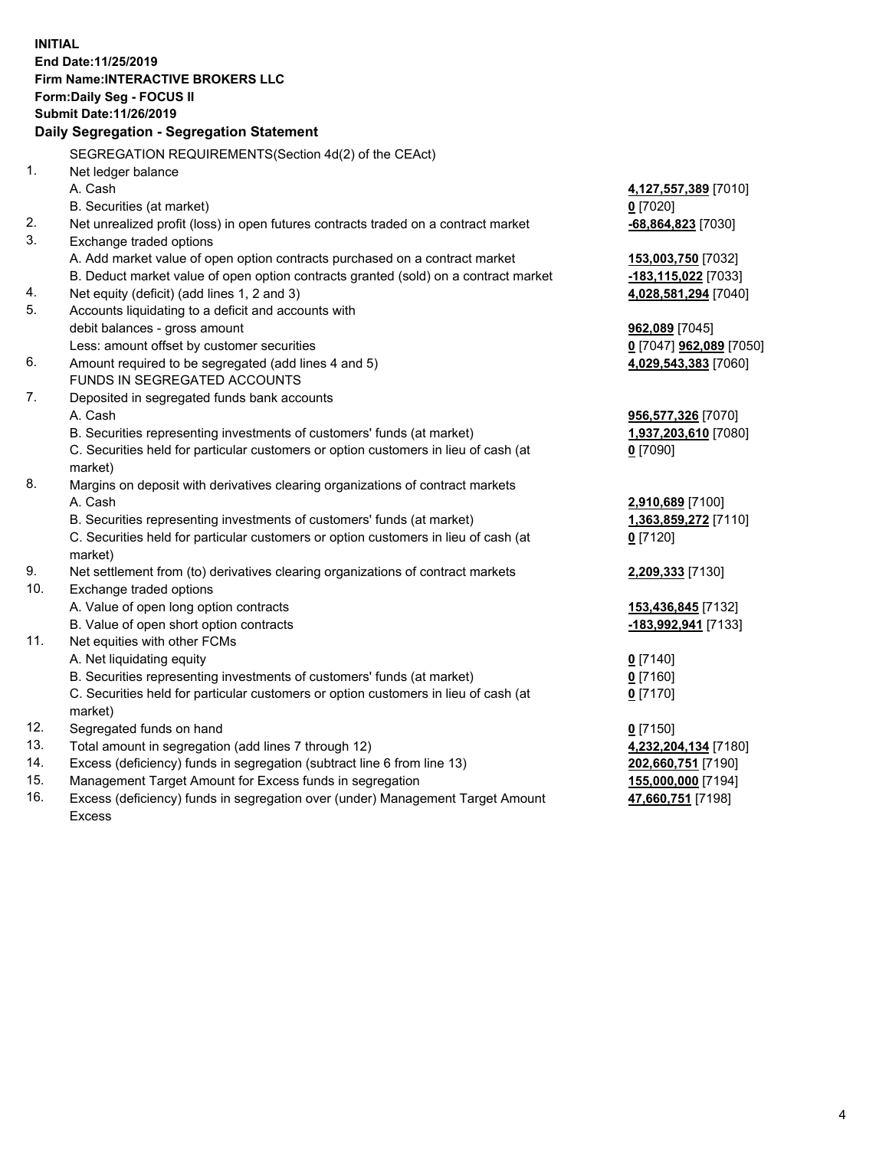**INITIAL End Date:11/25/2019 Firm Name:INTERACTIVE BROKERS LLC Form:Daily Seg - FOCUS II Submit Date:11/26/2019 Daily Segregation - Segregation Statement** SEGREGATION REQUIREMENTS(Section 4d(2) of the CEAct) 1. Net ledger balance A. Cash **4,127,557,389** [7010] B. Securities (at market) **0** [7020] 2. Net unrealized profit (loss) in open futures contracts traded on a contract market **-68,864,823** [7030] 3. Exchange traded options A. Add market value of open option contracts purchased on a contract market **153,003,750** [7032] B. Deduct market value of open option contracts granted (sold) on a contract market **-183,115,022** [7033] 4. Net equity (deficit) (add lines 1, 2 and 3) **4,028,581,294** [7040] 5. Accounts liquidating to a deficit and accounts with debit balances - gross amount **962,089** [7045] Less: amount offset by customer securities **0** [7047] **962,089** [7050] 6. Amount required to be segregated (add lines 4 and 5) **4,029,543,383** [7060] FUNDS IN SEGREGATED ACCOUNTS 7. Deposited in segregated funds bank accounts A. Cash **956,577,326** [7070] B. Securities representing investments of customers' funds (at market) **1,937,203,610** [7080] C. Securities held for particular customers or option customers in lieu of cash (at market) **0** [7090] 8. Margins on deposit with derivatives clearing organizations of contract markets A. Cash **2,910,689** [7100] B. Securities representing investments of customers' funds (at market) **1,363,859,272** [7110] C. Securities held for particular customers or option customers in lieu of cash (at market) **0** [7120] 9. Net settlement from (to) derivatives clearing organizations of contract markets **2,209,333** [7130] 10. Exchange traded options A. Value of open long option contracts **153,436,845** [7132] B. Value of open short option contracts **-183,992,941** [7133] 11. Net equities with other FCMs A. Net liquidating equity **0** [7140] B. Securities representing investments of customers' funds (at market) **0** [7160] C. Securities held for particular customers or option customers in lieu of cash (at market) **0** [7170] 12. Segregated funds on hand **0** [7150] 13. Total amount in segregation (add lines 7 through 12) **4,232,204,134** [7180] 14. Excess (deficiency) funds in segregation (subtract line 6 from line 13) **202,660,751** [7190] 15. Management Target Amount for Excess funds in segregation **155,000,000** [7194] **47,660,751** [7198]

16. Excess (deficiency) funds in segregation over (under) Management Target Amount Excess